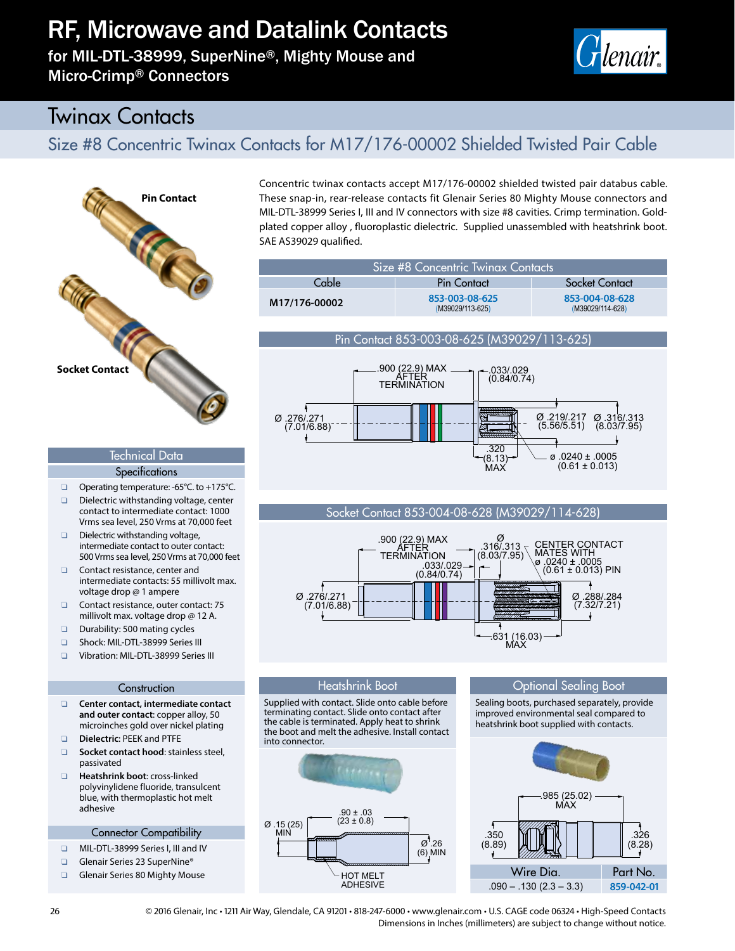# RF, Microwave and Datalink Contacts

for MIL-DTL-38999, SuperNine®, Mighty Mouse and Micro-Crimp® Connectors



(M39029/114-628)

# Twinax Contacts

## Size #8 Concentric Twinax Contacts for M17/176-00002 Shielded Twisted Pair Cable



### SAE AS39029 qualified. Size #8 Concentric Twinax Contacts Cable **Pin Contact** Socket Contact **M17/176-00002 853-003-08-625 853-004-08-628**

Concentric twinax contacts accept M17/176-00002 shielded twisted pair databus cable. These snap-in, rear-release contacts fit Glenair Series 80 Mighty Mouse connectors and MIL-DTL-38999 Series I, III and IV connectors with size #8 cavities. Crimp termination. Goldplated copper alloy , fluoroplastic dielectric. Supplied unassembled with heatshrink boot.

### Pin Contact 853-003-08-625 (M39029/113-625)

(M39029/113-625)



### Socket Contact 853-004-08-628 (M39029/114-628)



### Optional Sealing Boot

Supplied with contact. Slide onto cable before terminating contact. Slide onto contact after the cable is terminated. Apply heat to shrink the boot and melt the adhesive. Install contact into connector.

Heatshrink Boot



Sealing boots, purchased separately, provide improved environmental seal compared to heatshrink boot supplied with contacts.



### Technical Data

- **Specifications**
- □ Operating temperature: -65°C. to +175°C. Dielectric withstanding voltage, center contact to intermediate contact: 1000 Vrms sea level, 250 Vrms at 70,000 feet
- Dielectric withstanding voltage, intermediate contact to outer contact: 500 Vrms sea level, 250 Vrms at 70,000 feet
- □ Contact resistance, center and intermediate contacts: 55 millivolt max. voltage drop @ 1 ampere
- Contact resistance, outer contact: 75 millivolt max. voltage drop @ 12 A.
- Durability: 500 mating cycles
- G Shock: MIL-DTL-38999 Series III
- QQ Vibration: MIL-DTL-38999 Series III

#### **Construction**

- Q**Q Center contact, intermediate contact and outer contact**: copper alloy, 50 microinches gold over nickel plating
- Q**Q Dielectric**: PEEK and PTFE
- Q**Q Socket contact hood**: stainless steel, passivated
- Q**Q Heatshrink boot**: cross-linked polyvinylidene fluoride, transulcent blue, with thermoplastic hot melt adhesive

#### Connector Compatibility

- QQ MIL-DTL-38999 Series I, III and IV
- Glenair Series 23 SuperNine®
- Glenair Series 80 Mighty Mouse

26 © 2016 Glenair, Inc • 1211 Air Way, Glendale, CA 91201 • 818-247-6000 • www.glenair.com • U.S. CAGE code 06324 • High-Speed Contacts Dimensions in Inches (millimeters) are subject to change without notice.